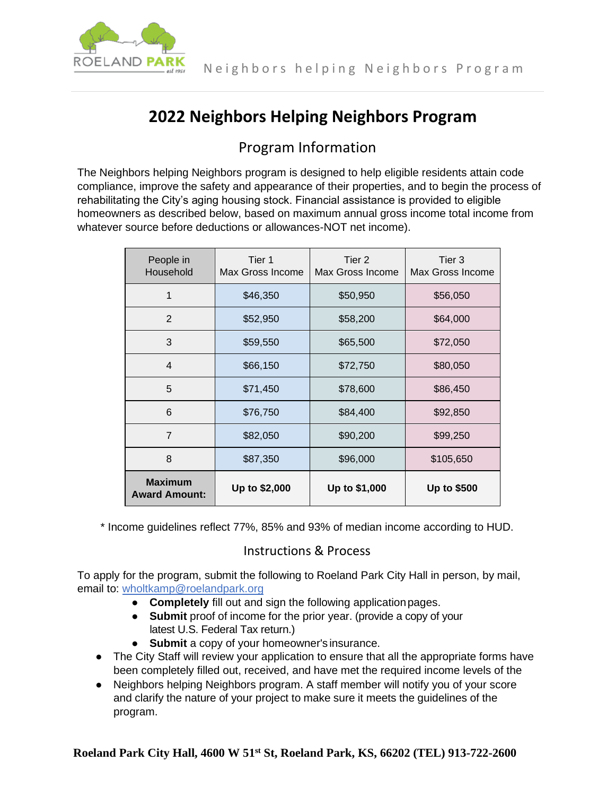

# **2022 Neighbors Helping Neighbors Program**

## Program Information

The Neighbors helping Neighbors program is designed to help eligible residents attain code compliance, improve the safety and appearance of their properties, and to begin the process of rehabilitating the City's aging housing stock. Financial assistance is provided to eligible homeowners as described below, based on maximum annual gross income total income from whatever source before deductions or allowances-NOT net income).

| People in<br>Household                 | Tier 1<br>Max Gross Income | Tier 2<br>Max Gross Income | Tier 3<br>Max Gross Income |
|----------------------------------------|----------------------------|----------------------------|----------------------------|
| 1                                      | \$46,350                   | \$50,950                   | \$56,050                   |
| $\overline{2}$                         | \$52,950                   | \$58,200                   | \$64,000                   |
| 3                                      | \$59,550                   | \$65,500                   | \$72,050                   |
| $\overline{4}$                         | \$66,150                   | \$72,750                   | \$80,050                   |
| 5                                      | \$71,450                   | \$78,600                   | \$86,450                   |
| 6                                      | \$76,750                   | \$84,400                   | \$92,850                   |
| $\overline{7}$                         | \$82,050                   | \$90,200                   | \$99,250                   |
| 8                                      | \$87,350                   | \$96,000                   | \$105,650                  |
| <b>Maximum</b><br><b>Award Amount:</b> | Up to \$2,000              | Up to \$1,000              | <b>Up to \$500</b>         |

\* Income guidelines reflect 77%, 85% and 93% of median income according to HUD.

### Instructions & Process

To apply for the program, submit the following to Roeland Park City Hall in person, by mail, email to: [wholtkamp@roelandpark.org](mailto:wholtkamp@roelandpark.org)

- **Completely** fill out and sign the following applicationpages.
- **Submit** proof of income for the prior year. (provide a copy of your latest U.S. Federal Tax return.)
- **Submit** a copy of your homeowner's insurance.
- The City Staff will review your application to ensure that all the appropriate forms have been completely filled out, received, and have met the required income levels of the
- Neighbors helping Neighbors program. A staff member will notify you of your score and clarify the nature of your project to make sure it meets the guidelines of the program.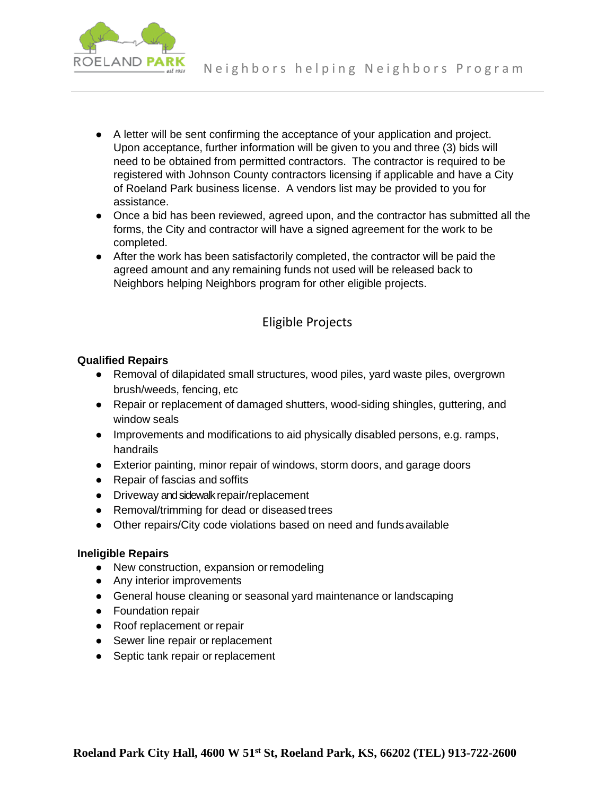

- A letter will be sent confirming the acceptance of your application and project. Upon acceptance, further information will be given to you and three (3) bids will need to be obtained from permitted contractors. The contractor is required to be registered with Johnson County contractors licensing if applicable and have a City of Roeland Park business license. A vendors list may be provided to you for assistance.
- Once a bid has been reviewed, agreed upon, and the contractor has submitted all the forms, the City and contractor will have a signed agreement for the work to be completed.
- After the work has been satisfactorily completed, the contractor will be paid the agreed amount and any remaining funds not used will be released back to Neighbors helping Neighbors program for other eligible projects.

### Eligible Projects

### **Qualified Repairs**

- Removal of dilapidated small structures, wood piles, yard waste piles, overgrown brush/weeds, fencing, etc
- Repair or replacement of damaged shutters, wood-siding shingles, guttering, and window seals
- Improvements and modifications to aid physically disabled persons, e.g. ramps, handrails
- Exterior painting, minor repair of windows, storm doors, and garage doors
- Repair of fascias and soffits
- Driveway and sidewalk repair/replacement
- Removal/trimming for dead or diseased trees
- Other repairs/City code violations based on need and funds available

### **Ineligible Repairs**

- New construction, expansion or remodeling
- Any interior improvements
- General house cleaning or seasonal yard maintenance or landscaping
- Foundation repair
- Roof replacement or repair
- Sewer line repair or replacement
- Septic tank repair or replacement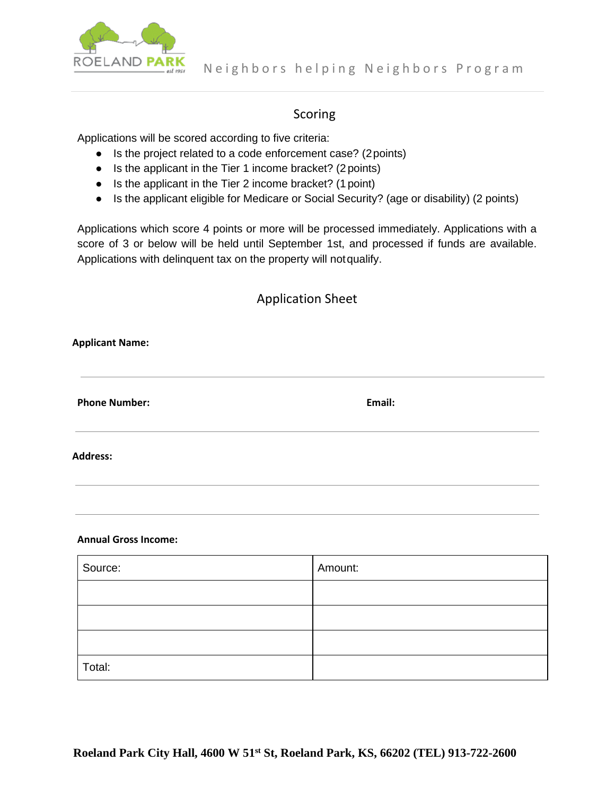

### Scoring

Applications will be scored according to five criteria:

- Is the project related to a code enforcement case? (2points)
- Is the applicant in the Tier 1 income bracket? (2 points)
- Is the applicant in the Tier 2 income bracket? (1 point)
- Is the applicant eligible for Medicare or Social Security? (age or disability) (2 points)

Applications which score 4 points or more will be processed immediately. Applications with a score of 3 or below will be held until September 1st, and processed if funds are available. Applications with delinquent tax on the property will notqualify.

### Application Sheet

| Email: |
|--------|
|        |
|        |

#### **Annual Gross Income:**

| Source: | Amount: |
|---------|---------|
|         |         |
|         |         |
|         |         |
| Total:  |         |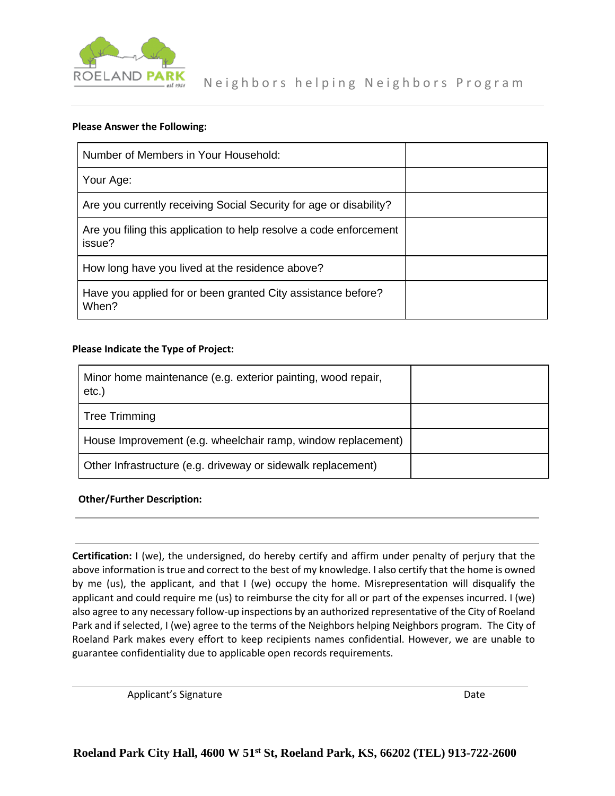

#### **Please Answer the Following:**

| Number of Members in Your Household:                                         |  |
|------------------------------------------------------------------------------|--|
| Your Age:                                                                    |  |
| Are you currently receiving Social Security for age or disability?           |  |
| Are you filing this application to help resolve a code enforcement<br>issue? |  |
| How long have you lived at the residence above?                              |  |
| Have you applied for or been granted City assistance before?<br>When?        |  |

#### **Please Indicate the Type of Project:**

| Minor home maintenance (e.g. exterior painting, wood repair,<br>$etc.$ ) |  |
|--------------------------------------------------------------------------|--|
| Tree Trimming                                                            |  |
| House Improvement (e.g. wheelchair ramp, window replacement)             |  |
| Other Infrastructure (e.g. driveway or sidewalk replacement)             |  |

#### **Other/Further Description:**

**Certification:** I (we), the undersigned, do hereby certify and affirm under penalty of perjury that the above information is true and correct to the best of my knowledge. I also certify that the home is owned by me (us), the applicant, and that I (we) occupy the home. Misrepresentation will disqualify the applicant and could require me (us) to reimburse the city for all or part of the expenses incurred. I (we) also agree to any necessary follow-up inspections by an authorized representative of the City of Roeland Park and if selected, I (we) agree to the terms of the Neighbors helping Neighbors program. The City of Roeland Park makes every effort to keep recipients names confidential. However, we are unable to guarantee confidentiality due to applicable open records requirements.

Applicant's Signature Date Date Applicant's Signature Date